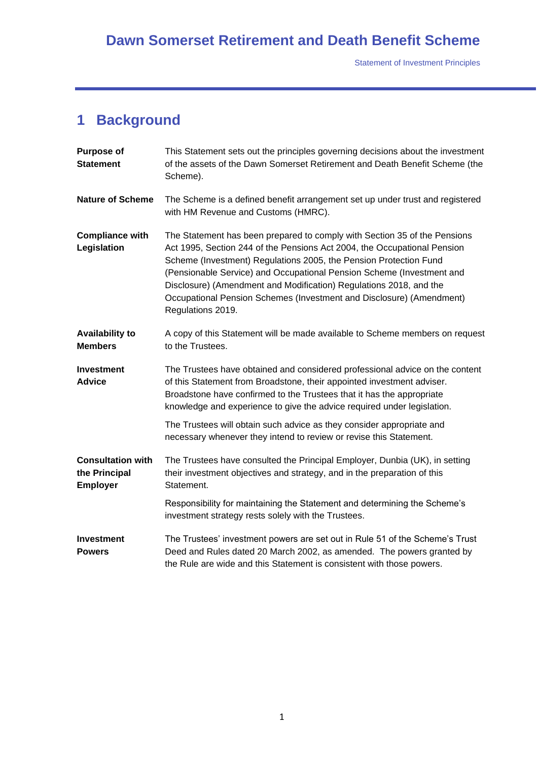## **Dawn Somerset Retirement and Death Benefit Scheme**

Statement of Investment Principles

# **1 Background**

| <b>Purpose of</b><br><b>Statement</b>                        | This Statement sets out the principles governing decisions about the investment<br>of the assets of the Dawn Somerset Retirement and Death Benefit Scheme (the<br>Scheme).                                                                                                                                                                                                                                                                                             |
|--------------------------------------------------------------|------------------------------------------------------------------------------------------------------------------------------------------------------------------------------------------------------------------------------------------------------------------------------------------------------------------------------------------------------------------------------------------------------------------------------------------------------------------------|
| <b>Nature of Scheme</b>                                      | The Scheme is a defined benefit arrangement set up under trust and registered<br>with HM Revenue and Customs (HMRC).                                                                                                                                                                                                                                                                                                                                                   |
| <b>Compliance with</b><br>Legislation                        | The Statement has been prepared to comply with Section 35 of the Pensions<br>Act 1995, Section 244 of the Pensions Act 2004, the Occupational Pension<br>Scheme (Investment) Regulations 2005, the Pension Protection Fund<br>(Pensionable Service) and Occupational Pension Scheme (Investment and<br>Disclosure) (Amendment and Modification) Regulations 2018, and the<br>Occupational Pension Schemes (Investment and Disclosure) (Amendment)<br>Regulations 2019. |
| <b>Availability to</b><br><b>Members</b>                     | A copy of this Statement will be made available to Scheme members on request<br>to the Trustees.                                                                                                                                                                                                                                                                                                                                                                       |
| <b>Investment</b><br><b>Advice</b>                           | The Trustees have obtained and considered professional advice on the content<br>of this Statement from Broadstone, their appointed investment adviser.<br>Broadstone have confirmed to the Trustees that it has the appropriate<br>knowledge and experience to give the advice required under legislation.                                                                                                                                                             |
|                                                              | The Trustees will obtain such advice as they consider appropriate and<br>necessary whenever they intend to review or revise this Statement.                                                                                                                                                                                                                                                                                                                            |
| <b>Consultation with</b><br>the Principal<br><b>Employer</b> | The Trustees have consulted the Principal Employer, Dunbia (UK), in setting<br>their investment objectives and strategy, and in the preparation of this<br>Statement.                                                                                                                                                                                                                                                                                                  |
|                                                              | Responsibility for maintaining the Statement and determining the Scheme's<br>investment strategy rests solely with the Trustees.                                                                                                                                                                                                                                                                                                                                       |
| <b>Investment</b><br><b>Powers</b>                           | The Trustees' investment powers are set out in Rule 51 of the Scheme's Trust<br>Deed and Rules dated 20 March 2002, as amended. The powers granted by<br>the Rule are wide and this Statement is consistent with those powers.                                                                                                                                                                                                                                         |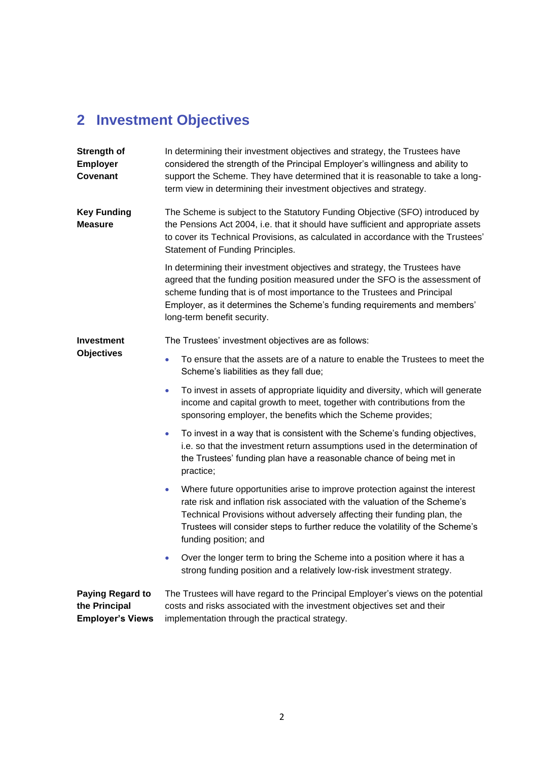### **2 Investment Objectives**

**Strength of Employer Covenant** In determining their investment objectives and strategy, the Trustees have considered the strength of the Principal Employer's willingness and ability to support the Scheme. They have determined that it is reasonable to take a longterm view in determining their investment objectives and strategy. **Key Funding Measure** The Scheme is subject to the Statutory Funding Objective (SFO) introduced by the Pensions Act 2004, i.e. that it should have sufficient and appropriate assets to cover its Technical Provisions, as calculated in accordance with the Trustees' Statement of Funding Principles. In determining their investment objectives and strategy, the Trustees have agreed that the funding position measured under the SFO is the assessment of scheme funding that is of most importance to the Trustees and Principal Employer, as it determines the Scheme's funding requirements and members' long-term benefit security. **Investment Objectives** The Trustees' investment objectives are as follows: • To ensure that the assets are of a nature to enable the Trustees to meet the Scheme's liabilities as they fall due; • To invest in assets of appropriate liquidity and diversity, which will generate income and capital growth to meet, together with contributions from the sponsoring employer, the benefits which the Scheme provides; • To invest in a way that is consistent with the Scheme's funding objectives, i.e. so that the investment return assumptions used in the determination of the Trustees' funding plan have a reasonable chance of being met in practice; • Where future opportunities arise to improve protection against the interest rate risk and inflation risk associated with the valuation of the Scheme's Technical Provisions without adversely affecting their funding plan, the Trustees will consider steps to further reduce the volatility of the Scheme's funding position; and • Over the longer term to bring the Scheme into a position where it has a strong funding position and a relatively low-risk investment strategy. **Paying Regard to the Principal Employer's Views** The Trustees will have regard to the Principal Employer's views on the potential costs and risks associated with the investment objectives set and their implementation through the practical strategy.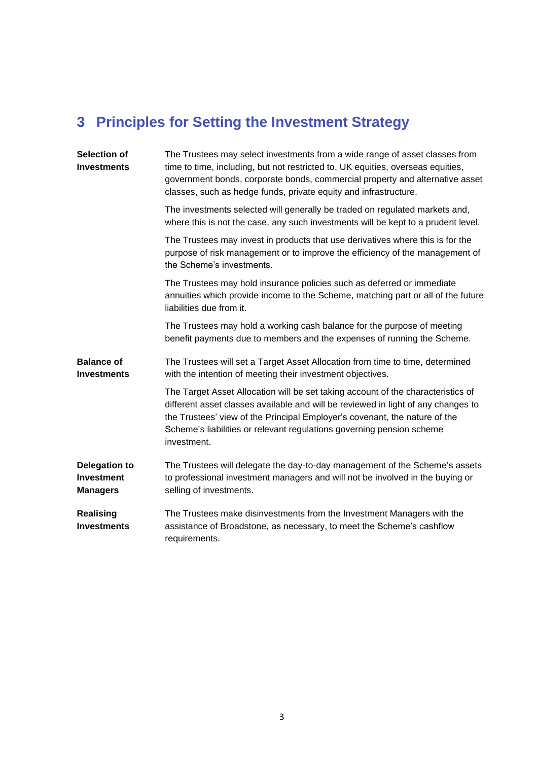# **3 Principles for Setting the Investment Strategy**

| <b>Selection of</b><br><b>Investments</b>                    | The Trustees may select investments from a wide range of asset classes from<br>time to time, including, but not restricted to, UK equities, overseas equities,<br>government bonds, corporate bonds, commercial property and alternative asset<br>classes, such as hedge funds, private equity and infrastructure.                          |
|--------------------------------------------------------------|---------------------------------------------------------------------------------------------------------------------------------------------------------------------------------------------------------------------------------------------------------------------------------------------------------------------------------------------|
|                                                              | The investments selected will generally be traded on regulated markets and,<br>where this is not the case, any such investments will be kept to a prudent level.                                                                                                                                                                            |
|                                                              | The Trustees may invest in products that use derivatives where this is for the<br>purpose of risk management or to improve the efficiency of the management of<br>the Scheme's investments.                                                                                                                                                 |
|                                                              | The Trustees may hold insurance policies such as deferred or immediate<br>annuities which provide income to the Scheme, matching part or all of the future<br>liabilities due from it.                                                                                                                                                      |
|                                                              | The Trustees may hold a working cash balance for the purpose of meeting<br>benefit payments due to members and the expenses of running the Scheme.                                                                                                                                                                                          |
| <b>Balance of</b><br><b>Investments</b>                      | The Trustees will set a Target Asset Allocation from time to time, determined<br>with the intention of meeting their investment objectives.                                                                                                                                                                                                 |
|                                                              | The Target Asset Allocation will be set taking account of the characteristics of<br>different asset classes available and will be reviewed in light of any changes to<br>the Trustees' view of the Principal Employer's covenant, the nature of the<br>Scheme's liabilities or relevant regulations governing pension scheme<br>investment. |
| <b>Delegation to</b><br><b>Investment</b><br><b>Managers</b> | The Trustees will delegate the day-to-day management of the Scheme's assets<br>to professional investment managers and will not be involved in the buying or<br>selling of investments.                                                                                                                                                     |
| <b>Realising</b><br><b>Investments</b>                       | The Trustees make disinvestments from the Investment Managers with the<br>assistance of Broadstone, as necessary, to meet the Scheme's cashflow<br>requirements.                                                                                                                                                                            |
|                                                              |                                                                                                                                                                                                                                                                                                                                             |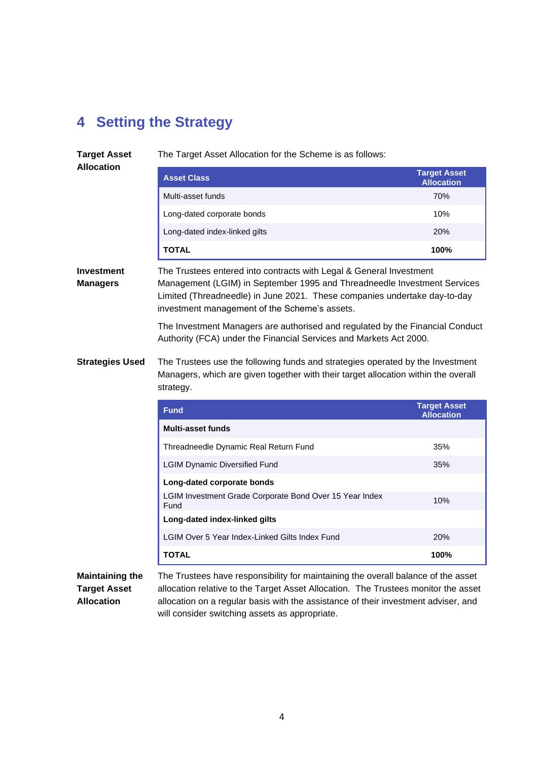### **4 Setting the Strategy**

**Target Asset** 

The Target Asset Allocation for the Scheme is as follows:

**Allocation**

| <b>Asset Class</b>            | <b>Target Asset</b><br><b>Allocation</b> |
|-------------------------------|------------------------------------------|
| Multi-asset funds             | 70%                                      |
| Long-dated corporate bonds    | 10%                                      |
| Long-dated index-linked gilts | <b>20%</b>                               |
| TOTAL                         | 100%                                     |

**Investment Managers** The Trustees entered into contracts with Legal & General Investment Management (LGIM) in September 1995 and Threadneedle Investment Services Limited (Threadneedle) in June 2021. These companies undertake day-to-day investment management of the Scheme's assets.

> The Investment Managers are authorised and regulated by the Financial Conduct Authority (FCA) under the Financial Services and Markets Act 2000.

**Strategies Used** The Trustees use the following funds and strategies operated by the Investment Managers, which are given together with their target allocation within the overall strategy.

| <b>Fund</b>                                                     | <b>Target Asset</b><br><b>Allocation</b> |
|-----------------------------------------------------------------|------------------------------------------|
| <b>Multi-asset funds</b>                                        |                                          |
| Threadneedle Dynamic Real Return Fund                           | 35%                                      |
| <b>LGIM Dynamic Diversified Fund</b>                            | 35%                                      |
| Long-dated corporate bonds                                      |                                          |
| LGIM Investment Grade Corporate Bond Over 15 Year Index<br>Fund | 10%                                      |
| Long-dated index-linked gilts                                   |                                          |
| LGIM Over 5 Year Index-Linked Gilts Index Fund                  | <b>20%</b>                               |
| <b>TOTAL</b>                                                    | 100%                                     |

**Maintaining the Target Asset Allocation**

The Trustees have responsibility for maintaining the overall balance of the asset allocation relative to the Target Asset Allocation. The Trustees monitor the asset allocation on a regular basis with the assistance of their investment adviser, and will consider switching assets as appropriate.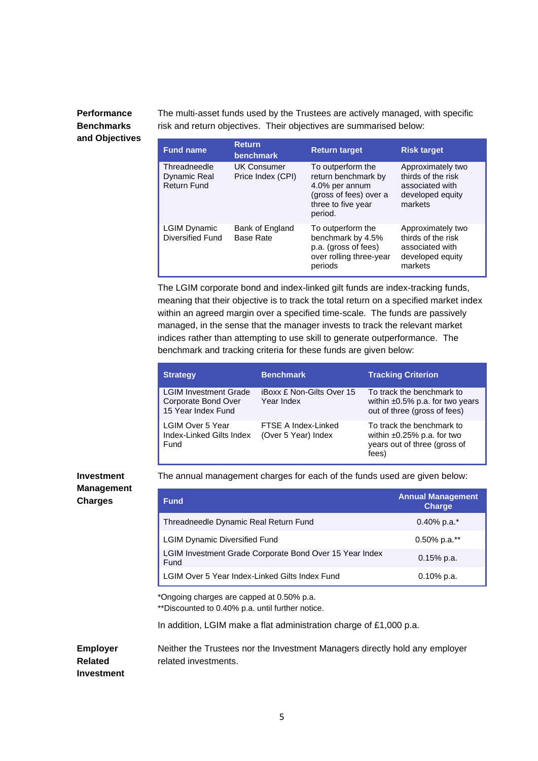#### **Performance Benchmarks and Objectives**

The multi-asset funds used by the Trustees are actively managed, with specific risk and return objectives. Their objectives are summarised below:

| <b>Fund name</b>                                          | <b>Return</b><br><b>benchmark</b>       | <b>Return target</b>                                                                                                  | <b>Risk target</b>                                                                        |
|-----------------------------------------------------------|-----------------------------------------|-----------------------------------------------------------------------------------------------------------------------|-------------------------------------------------------------------------------------------|
| Threadneedle<br><b>Dynamic Real</b><br><b>Return Fund</b> | <b>UK Consumer</b><br>Price Index (CPI) | To outperform the<br>return benchmark by<br>4.0% per annum<br>(gross of fees) over a<br>three to five year<br>period. | Approximately two<br>thirds of the risk<br>associated with<br>developed equity<br>markets |
| <b>LGIM Dynamic</b><br>Diversified Fund                   | Bank of England<br><b>Base Rate</b>     | To outperform the<br>benchmark by 4.5%<br>p.a. (gross of fees)<br>over rolling three-year<br>periods                  | Approximately two<br>thirds of the risk<br>associated with<br>developed equity<br>markets |

The LGIM corporate bond and index-linked gilt funds are index-tracking funds, meaning that their objective is to track the total return on a specified market index within an agreed margin over a specified time-scale. The funds are passively managed, in the sense that the manager invests to track the relevant market indices rather than attempting to use skill to generate outperformance. The benchmark and tracking criteria for these funds are given below:

| <b>Strategy</b>                                                           | <b>Benchmark</b>                               | <b>Tracking Criterion</b>                                                                              |
|---------------------------------------------------------------------------|------------------------------------------------|--------------------------------------------------------------------------------------------------------|
| <b>LGIM Investment Grade</b><br>Corporate Bond Over<br>15 Year Index Fund | <b>iBoxx £ Non-Gilts Over 15</b><br>Year Index | To track the benchmark to<br>within $\pm 0.5\%$ p.a. for two years<br>out of three (gross of fees)     |
| <b>LGIM Over 5 Year</b><br>Index-Linked Gilts Index<br>Fund               | FTSE A Index-Linked<br>(Over 5 Year) Index     | To track the benchmark to<br>within $\pm 0.25\%$ p.a. for two<br>years out of three (gross of<br>fees) |

#### **Investment Management Charges**

The annual management charges for each of the funds used are given below:

| <b>Fund</b>                                                     | <b>Annual Management</b><br><b>Charge</b> |
|-----------------------------------------------------------------|-------------------------------------------|
| Threadneedle Dynamic Real Return Fund                           | $0.40\%$ p.a.*                            |
| <b>LGIM Dynamic Diversified Fund</b>                            | $0.50\%$ p.a.**                           |
| LGIM Investment Grade Corporate Bond Over 15 Year Index<br>Fund | $0.15%$ p.a.                              |
| LGIM Over 5 Year Index-Linked Gilts Index Fund                  | $0.10\%$ p.a.                             |

\*Ongoing charges are capped at 0.50% p.a.

\*\*Discounted to 0.40% p.a. until further notice.

In addition, LGIM make a flat administration charge of £1,000 p.a.

**Employer Related**  Neither the Trustees nor the Investment Managers directly hold any employer related investments.

**Investment**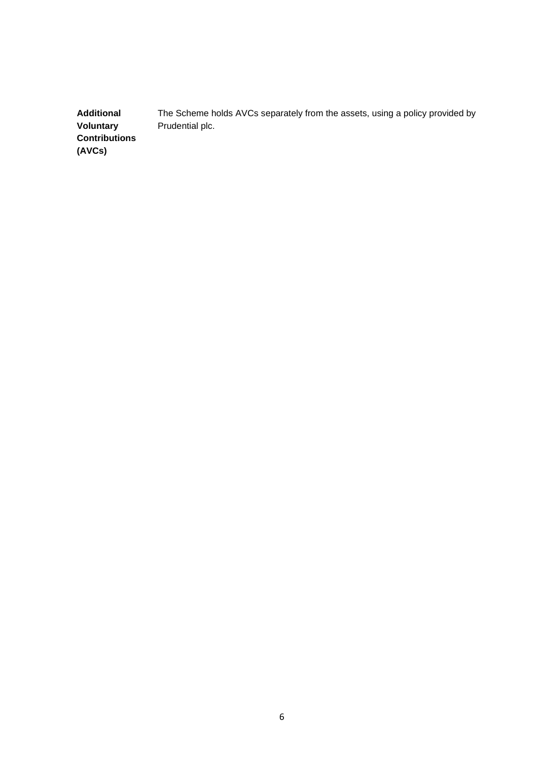**Additional Voluntary Contributions (AVCs)** The Scheme holds AVCs separately from the assets, using a policy provided by Prudential plc.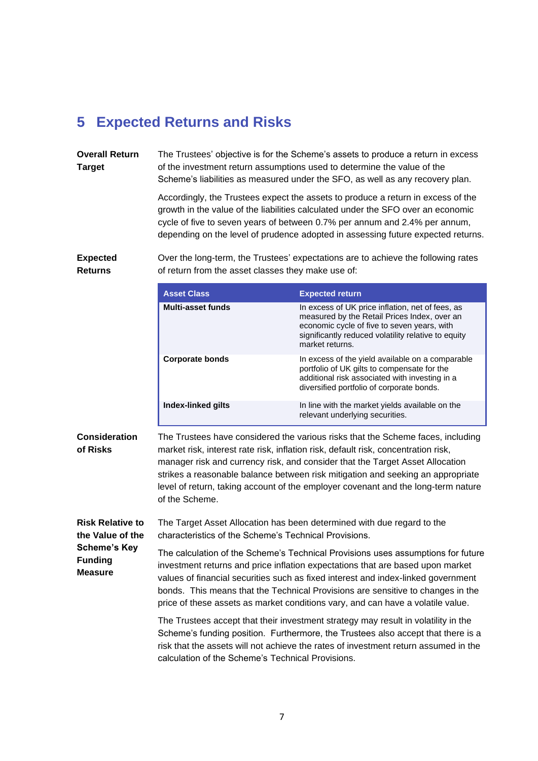### **5 Expected Returns and Risks**

**Overall Return Target** The Trustees' objective is for the Scheme's assets to produce a return in excess of the investment return assumptions used to determine the value of the Scheme's liabilities as measured under the SFO, as well as any recovery plan.

> Accordingly, the Trustees expect the assets to produce a return in excess of the growth in the value of the liabilities calculated under the SFO over an economic cycle of five to seven years of between 0.7% per annum and 2.4% per annum, depending on the level of prudence adopted in assessing future expected returns.

**Expected Returns**

Over the long-term, the Trustees' expectations are to achieve the following rates of return from the asset classes they make use of:

|                                                         | <b>Asset Class</b>                                                                                                                                                                                                                                                                                                                                                                                                                               | <b>Expected return</b>                                                                                                                                                                                                    |  |
|---------------------------------------------------------|--------------------------------------------------------------------------------------------------------------------------------------------------------------------------------------------------------------------------------------------------------------------------------------------------------------------------------------------------------------------------------------------------------------------------------------------------|---------------------------------------------------------------------------------------------------------------------------------------------------------------------------------------------------------------------------|--|
|                                                         | <b>Multi-asset funds</b>                                                                                                                                                                                                                                                                                                                                                                                                                         | In excess of UK price inflation, net of fees, as<br>measured by the Retail Prices Index, over an<br>economic cycle of five to seven years, with<br>significantly reduced volatility relative to equity<br>market returns. |  |
|                                                         | <b>Corporate bonds</b>                                                                                                                                                                                                                                                                                                                                                                                                                           | In excess of the yield available on a comparable<br>portfolio of UK gilts to compensate for the<br>additional risk associated with investing in a<br>diversified portfolio of corporate bonds.                            |  |
|                                                         | Index-linked gilts                                                                                                                                                                                                                                                                                                                                                                                                                               | In line with the market yields available on the<br>relevant underlying securities.                                                                                                                                        |  |
| <b>Consideration</b><br>of Risks                        | The Trustees have considered the various risks that the Scheme faces, including<br>market risk, interest rate risk, inflation risk, default risk, concentration risk,<br>manager risk and currency risk, and consider that the Target Asset Allocation<br>strikes a reasonable balance between risk mitigation and seeking an appropriate<br>level of return, taking account of the employer covenant and the long-term nature<br>of the Scheme. |                                                                                                                                                                                                                           |  |
| <b>Risk Relative to</b><br>the Value of the             | characteristics of the Scheme's Technical Provisions.                                                                                                                                                                                                                                                                                                                                                                                            | The Target Asset Allocation has been determined with due regard to the                                                                                                                                                    |  |
| <b>Scheme's Key</b><br><b>Funding</b><br><b>Measure</b> | The calculation of the Scheme's Technical Provisions uses assumptions for future<br>investment returns and price inflation expectations that are based upon market<br>values of financial securities such as fixed interest and index-linked government<br>bonds. This means that the Technical Provisions are sensitive to changes in the<br>price of these assets as market conditions vary, and can have a volatile value.                    |                                                                                                                                                                                                                           |  |
|                                                         | The Trustees accept that their investment strategy may result in volatility in the<br>Scheme's funding position. Furthermore, the Trustees also accept that there is a                                                                                                                                                                                                                                                                           |                                                                                                                                                                                                                           |  |

Scheme's funding position. Furthermore, the Trustees also accept that there is a risk that the assets will not achieve the rates of investment return assumed in the calculation of the Scheme's Technical Provisions.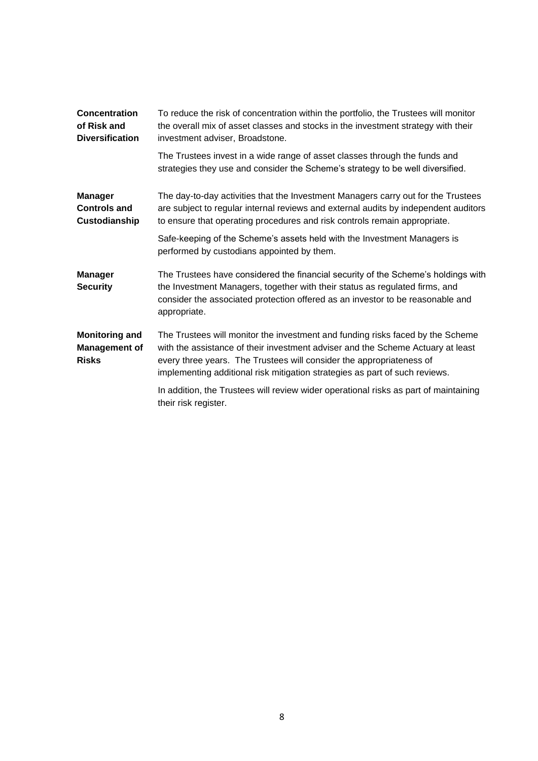| Concentration<br>of Risk and<br><b>Diversification</b>        | To reduce the risk of concentration within the portfolio, the Trustees will monitor<br>the overall mix of asset classes and stocks in the investment strategy with their<br>investment adviser, Broadstone.                                                                                                              |
|---------------------------------------------------------------|--------------------------------------------------------------------------------------------------------------------------------------------------------------------------------------------------------------------------------------------------------------------------------------------------------------------------|
|                                                               | The Trustees invest in a wide range of asset classes through the funds and<br>strategies they use and consider the Scheme's strategy to be well diversified.                                                                                                                                                             |
| <b>Manager</b><br><b>Controls and</b><br>Custodianship        | The day-to-day activities that the Investment Managers carry out for the Trustees<br>are subject to regular internal reviews and external audits by independent auditors<br>to ensure that operating procedures and risk controls remain appropriate.                                                                    |
|                                                               | Safe-keeping of the Scheme's assets held with the Investment Managers is<br>performed by custodians appointed by them.                                                                                                                                                                                                   |
| <b>Manager</b><br><b>Security</b>                             | The Trustees have considered the financial security of the Scheme's holdings with<br>the Investment Managers, together with their status as regulated firms, and<br>consider the associated protection offered as an investor to be reasonable and<br>appropriate.                                                       |
| <b>Monitoring and</b><br><b>Management of</b><br><b>Risks</b> | The Trustees will monitor the investment and funding risks faced by the Scheme<br>with the assistance of their investment adviser and the Scheme Actuary at least<br>every three years. The Trustees will consider the appropriateness of<br>implementing additional risk mitigation strategies as part of such reviews. |
|                                                               | In addition, the Trustees will review wider operational risks as part of maintaining<br>their risk register.                                                                                                                                                                                                             |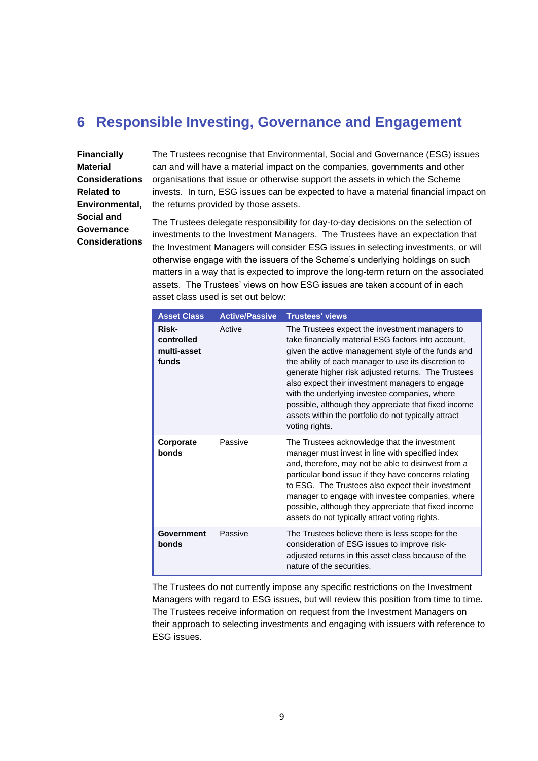### **6 Responsible Investing, Governance and Engagement**

**Financially Material Considerations Related to Environmental, Social and Governance Considerations**

The Trustees recognise that Environmental, Social and Governance (ESG) issues can and will have a material impact on the companies, governments and other organisations that issue or otherwise support the assets in which the Scheme invests. In turn, ESG issues can be expected to have a material financial impact on the returns provided by those assets.

The Trustees delegate responsibility for day-to-day decisions on the selection of investments to the Investment Managers. The Trustees have an expectation that the Investment Managers will consider ESG issues in selecting investments, or will otherwise engage with the issuers of the Scheme's underlying holdings on such matters in a way that is expected to improve the long-term return on the associated assets. The Trustees' views on how ESG issues are taken account of in each asset class used is set out below:

| <b>Asset Class</b>                          | <b>Active/Passive</b> | <b>Trustees' views</b>                                                                                                                                                                                                                                                                                                                                                                                                                                                                                           |
|---------------------------------------------|-----------------------|------------------------------------------------------------------------------------------------------------------------------------------------------------------------------------------------------------------------------------------------------------------------------------------------------------------------------------------------------------------------------------------------------------------------------------------------------------------------------------------------------------------|
| Risk-<br>controlled<br>multi-asset<br>funds | Active                | The Trustees expect the investment managers to<br>take financially material ESG factors into account,<br>given the active management style of the funds and<br>the ability of each manager to use its discretion to<br>generate higher risk adjusted returns. The Trustees<br>also expect their investment managers to engage<br>with the underlying investee companies, where<br>possible, although they appreciate that fixed income<br>assets within the portfolio do not typically attract<br>voting rights. |
| Corporate<br>bonds                          | Passive               | The Trustees acknowledge that the investment<br>manager must invest in line with specified index<br>and, therefore, may not be able to disinvest from a<br>particular bond issue if they have concerns relating<br>to ESG. The Trustees also expect their investment<br>manager to engage with investee companies, where<br>possible, although they appreciate that fixed income<br>assets do not typically attract voting rights.                                                                               |
| Government<br>bonds                         | Passive               | The Trustees believe there is less scope for the<br>consideration of ESG issues to improve risk-<br>adjusted returns in this asset class because of the<br>nature of the securities.                                                                                                                                                                                                                                                                                                                             |

The Trustees do not currently impose any specific restrictions on the Investment Managers with regard to ESG issues, but will review this position from time to time. The Trustees receive information on request from the Investment Managers on their approach to selecting investments and engaging with issuers with reference to ESG issues.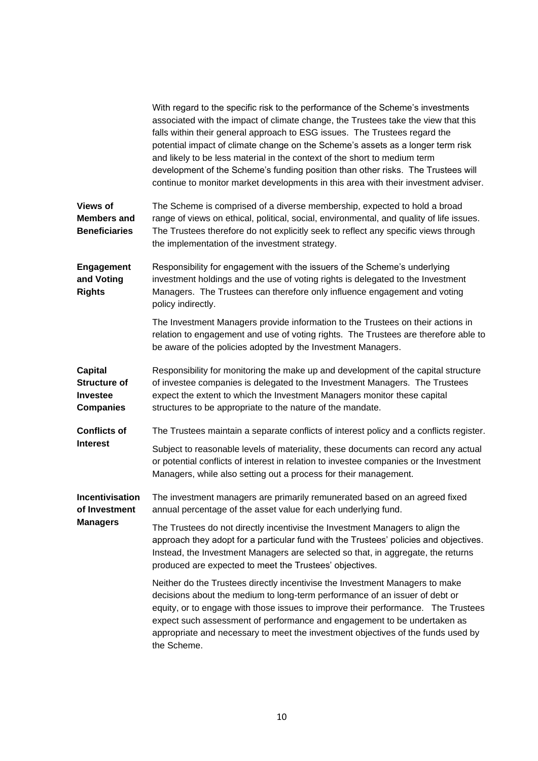|                                                                              | With regard to the specific risk to the performance of the Scheme's investments<br>associated with the impact of climate change, the Trustees take the view that this<br>falls within their general approach to ESG issues. The Trustees regard the<br>potential impact of climate change on the Scheme's assets as a longer term risk<br>and likely to be less material in the context of the short to medium term<br>development of the Scheme's funding position than other risks. The Trustees will<br>continue to monitor market developments in this area with their investment adviser. |
|------------------------------------------------------------------------------|------------------------------------------------------------------------------------------------------------------------------------------------------------------------------------------------------------------------------------------------------------------------------------------------------------------------------------------------------------------------------------------------------------------------------------------------------------------------------------------------------------------------------------------------------------------------------------------------|
| <b>Views of</b><br><b>Members and</b><br><b>Beneficiaries</b>                | The Scheme is comprised of a diverse membership, expected to hold a broad<br>range of views on ethical, political, social, environmental, and quality of life issues.<br>The Trustees therefore do not explicitly seek to reflect any specific views through<br>the implementation of the investment strategy.                                                                                                                                                                                                                                                                                 |
| <b>Engagement</b><br>and Voting<br><b>Rights</b>                             | Responsibility for engagement with the issuers of the Scheme's underlying<br>investment holdings and the use of voting rights is delegated to the Investment<br>Managers. The Trustees can therefore only influence engagement and voting<br>policy indirectly.                                                                                                                                                                                                                                                                                                                                |
|                                                                              | The Investment Managers provide information to the Trustees on their actions in<br>relation to engagement and use of voting rights. The Trustees are therefore able to<br>be aware of the policies adopted by the Investment Managers.                                                                                                                                                                                                                                                                                                                                                         |
| <b>Capital</b><br><b>Structure of</b><br><b>Investee</b><br><b>Companies</b> | Responsibility for monitoring the make up and development of the capital structure<br>of investee companies is delegated to the Investment Managers. The Trustees<br>expect the extent to which the Investment Managers monitor these capital<br>structures to be appropriate to the nature of the mandate.                                                                                                                                                                                                                                                                                    |
| <b>Conflicts of</b>                                                          | The Trustees maintain a separate conflicts of interest policy and a conflicts register.                                                                                                                                                                                                                                                                                                                                                                                                                                                                                                        |
| <b>Interest</b>                                                              | Subject to reasonable levels of materiality, these documents can record any actual<br>or potential conflicts of interest in relation to investee companies or the Investment<br>Managers, while also setting out a process for their management.                                                                                                                                                                                                                                                                                                                                               |
| Incentivisation<br>of Investment<br><b>Managers</b>                          | The investment managers are primarily remunerated based on an agreed fixed<br>annual percentage of the asset value for each underlying fund.                                                                                                                                                                                                                                                                                                                                                                                                                                                   |
|                                                                              | The Trustees do not directly incentivise the Investment Managers to align the<br>approach they adopt for a particular fund with the Trustees' policies and objectives.<br>Instead, the Investment Managers are selected so that, in aggregate, the returns<br>produced are expected to meet the Trustees' objectives.                                                                                                                                                                                                                                                                          |
|                                                                              | Neither do the Trustees directly incentivise the Investment Managers to make<br>decisions about the medium to long-term performance of an issuer of debt or<br>equity, or to engage with those issues to improve their performance. The Trustees<br>expect such assessment of performance and engagement to be undertaken as<br>appropriate and necessary to meet the investment objectives of the funds used by<br>the Scheme.                                                                                                                                                                |